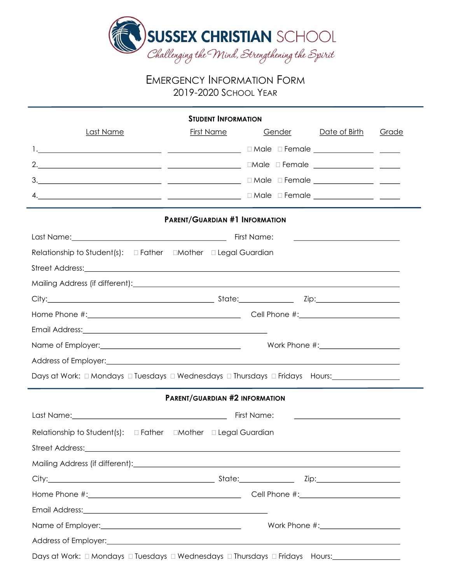

## EMERGENCY INFORMATION FORM 2019-2020 SCHOOL YEAR

|                                                                                                                                                                                                                                      | <b><i>STUDENT INFORMATION</i></b>     |        |                                                           |       |
|--------------------------------------------------------------------------------------------------------------------------------------------------------------------------------------------------------------------------------------|---------------------------------------|--------|-----------------------------------------------------------|-------|
| <b>Last Name</b>                                                                                                                                                                                                                     | <b>First Name</b>                     | Gender | Date of Birth                                             | Grade |
|                                                                                                                                                                                                                                      |                                       |        |                                                           |       |
|                                                                                                                                                                                                                                      |                                       |        |                                                           |       |
|                                                                                                                                                                                                                                      |                                       |        |                                                           |       |
|                                                                                                                                                                                                                                      |                                       |        |                                                           |       |
|                                                                                                                                                                                                                                      | <b>PARENT/GUARDIAN #1 INFORMATION</b> |        |                                                           |       |
|                                                                                                                                                                                                                                      |                                       |        |                                                           |       |
| Relationship to Student(s): □ Father □ Mother □ Legal Guardian                                                                                                                                                                       |                                       |        |                                                           |       |
| Street Address: <u>2000 and 2000 and 2000 and 2000 and 2000 and 2000 and 2000 and 2000 and 2000 and 2000 and 2000 and 2000 and 2000 and 2000 and 2000 and 2000 and 2000 and 2000 and 2000 and 2000 and 2000 and 2000 and 2000 an</u> |                                       |        |                                                           |       |
|                                                                                                                                                                                                                                      |                                       |        |                                                           |       |
|                                                                                                                                                                                                                                      |                                       |        |                                                           |       |
|                                                                                                                                                                                                                                      |                                       |        |                                                           |       |
| Email Address: <u>contract and a series of the series of the series of the series of the series of the series of</u>                                                                                                                 |                                       |        |                                                           |       |
|                                                                                                                                                                                                                                      |                                       |        |                                                           |       |
| Address of Employer: 1999 Address of Employer: 1999 Address of Employer: 1999 Address of Employer:                                                                                                                                   |                                       |        |                                                           |       |
| Days at Work: □ Mondays □ Tuesdays □ Wednesdays □ Thursdays □ Fridays Hours:_______________________                                                                                                                                  |                                       |        |                                                           |       |
|                                                                                                                                                                                                                                      | <b>PARENT/GUARDIAN #2 INFORMATION</b> |        |                                                           |       |
|                                                                                                                                                                                                                                      |                                       |        | <u> 1989 - Johann Barnett, fransk politiker (d. 1989)</u> |       |
|                                                                                                                                                                                                                                      |                                       |        |                                                           |       |
| Street Address: Note and the street Address and the street Address and the street Address in the street Address in the street and the street and the street and the street and the street and the street and the street and th       |                                       |        |                                                           |       |
|                                                                                                                                                                                                                                      |                                       |        |                                                           |       |
|                                                                                                                                                                                                                                      |                                       |        |                                                           |       |
|                                                                                                                                                                                                                                      |                                       |        |                                                           |       |
|                                                                                                                                                                                                                                      |                                       |        |                                                           |       |
|                                                                                                                                                                                                                                      |                                       |        |                                                           |       |
| Address of Employer: <u>contract and a series of Employer</u> and Address of Employer:                                                                                                                                               |                                       |        |                                                           |       |
| Days at Work: 0 Mondays 0 Tuesdays 0 Wednesdays 0 Thursdays 0 Fridays Hours:                                                                                                                                                         |                                       |        |                                                           |       |